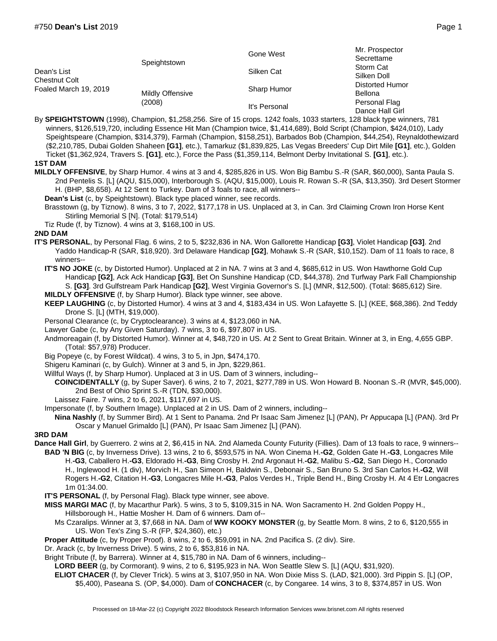|                                                       |                            | Gone West     | Mr. Prospector<br>Secrettame     |
|-------------------------------------------------------|----------------------------|---------------|----------------------------------|
| Dean's List<br>Chestnut Colt<br>Foaled March 19, 2019 | Speightstown               | Silken Cat    | Storm Cat<br>Silken Doll         |
|                                                       | Mildly Offensive<br>(2008) | Sharp Humor   | Distorted Humor<br>Bellona       |
|                                                       |                            | It's Personal | Personal Flag<br>Dance Hall Girl |

By **SPEIGHTSTOWN** (1998), Champion, \$1,258,256. Sire of 15 crops. 1242 foals, 1033 starters, 128 black type winners, 781 winners, \$126,519,720, including Essence Hit Man (Champion twice, \$1,414,689), Bold Script (Champion, \$424,010), Lady Speightspeare (Champion, \$314,379), Farmah (Champion, \$158,251), Barbados Bob (Champion, \$44,254), Reynaldothewizard (\$2,210,785, Dubai Golden Shaheen **[G1]**, etc.), Tamarkuz (\$1,839,825, Las Vegas Breeders' Cup Dirt Mile **[G1]**, etc.), Golden Ticket (\$1,362,924, Travers S. **[G1]**, etc.), Force the Pass (\$1,359,114, Belmont Derby Invitational S. **[G1]**, etc.).

## **1ST DAM**

- **MILDLY OFFENSIVE**, by Sharp Humor. 4 wins at 3 and 4, \$285,826 in US. Won Big Bambu S.-R (SAR, \$60,000), Santa Paula S. 2nd Pentelis S. [L] (AQU, \$15,000), Interborough S. (AQU, \$15,000), Louis R. Rowan S.-R (SA, \$13,350). 3rd Desert Stormer H. (BHP, \$8,658). At 12 Sent to Turkey. Dam of 3 foals to race, all winners--
	- **Dean's List** (c, by Speightstown). Black type placed winner, see records.
	- Brasstown (g, by Tiznow). 8 wins, 3 to 7, 2022, \$177,178 in US. Unplaced at 3, in Can. 3rd Claiming Crown Iron Horse Kent Stirling Memorial S [N]. (Total: \$179,514)
	- Tiz Rude (f, by Tiznow). 4 wins at 3, \$168,100 in US.

## **2ND DAM**

- **IT'S PERSONAL**, by Personal Flag. 6 wins, 2 to 5, \$232,836 in NA. Won Gallorette Handicap **[G3]**, Violet Handicap **[G3]**. 2nd Yaddo Handicap-R (SAR, \$18,920). 3rd Delaware Handicap **[G2]**, Mohawk S.-R (SAR, \$10,152). Dam of 11 foals to race, 8 winners--
	- **IT'S NO JOKE** (c, by Distorted Humor). Unplaced at 2 in NA. 7 wins at 3 and 4, \$685,612 in US. Won Hawthorne Gold Cup Handicap **[G2]**, Ack Ack Handicap **[G3]**, Bet On Sunshine Handicap (CD, \$44,378). 2nd Turfway Park Fall Championship S. **[G3]**. 3rd Gulfstream Park Handicap **[G2]**, West Virginia Governor's S. [L] (MNR, \$12,500). (Total: \$685,612) Sire.
	- **MILDLY OFFENSIVE** (f, by Sharp Humor). Black type winner, see above.
	- **KEEP LAUGHING** (c, by Distorted Humor). 4 wins at 3 and 4, \$183,434 in US. Won Lafayette S. [L] (KEE, \$68,386). 2nd Teddy Drone S. [L] (MTH, \$19,000).
	- Personal Clearance (c, by Cryptoclearance). 3 wins at 4, \$123,060 in NA.
	- Lawyer Gabe (c, by Any Given Saturday). 7 wins, 3 to 6, \$97,807 in US.
	- Andmoreagain (f, by Distorted Humor). Winner at 4, \$48,720 in US. At 2 Sent to Great Britain. Winner at 3, in Eng, 4,655 GBP. (Total: \$57,978) Producer.
	- Big Popeye (c, by Forest Wildcat). 4 wins, 3 to 5, in Jpn, \$474,170.
	- Shigeru Kaminari (c, by Gulch). Winner at 3 and 5, in Jpn, \$229,861.
	- Willful Ways (f, by Sharp Humor). Unplaced at 3 in US. Dam of 3 winners, including--
	- **COINCIDENTALLY** (g, by Super Saver). 6 wins, 2 to 7, 2021, \$277,789 in US. Won Howard B. Noonan S.-R (MVR, \$45,000). 2nd Best of Ohio Sprint S.-R (TDN, \$30,000).
	- Laissez Faire. 7 wins, 2 to 6, 2021, \$117,697 in US.
	- Impersonate (f, by Southern Image). Unplaced at 2 in US. Dam of 2 winners, including--
	- **Nina Nashly** (f, by Summer Bird). At 1 Sent to Panama. 2nd Pr Isaac Sam Jimenez [L] (PAN), Pr Appucapa [L] (PAN). 3rd Pr Oscar y Manuel Grimaldo [L] (PAN), Pr Isaac Sam Jimenez [L] (PAN).

## **3RD DAM**

- **Dance Hall Girl**, by Guerrero. 2 wins at 2, \$6,415 in NA. 2nd Alameda County Futurity (Fillies). Dam of 13 foals to race, 9 winners-- **BAD 'N BIG** (c, by Inverness Drive). 13 wins, 2 to 6, \$593,575 in NA. Won Cinema H.**-G2**, Golden Gate H.**-G3**, Longacres Mile H.**-G3**, Caballero H.**-G3**, Eldorado H.**-G3**, Bing Crosby H. 2nd Argonaut H.**-G2**, Malibu S.**-G2**, San Diego H., Coronado H., Inglewood H. (1 div), Morvich H., San Simeon H, Baldwin S., Debonair S., San Bruno S. 3rd San Carlos H.**-G2**, Will Rogers H.**-G2**, Citation H.**-G3**, Longacres Mile H.**-G3**, Palos Verdes H., Triple Bend H., Bing Crosby H. At 4 Etr Longacres 1m 01:34.00.
	- **IT'S PERSONAL** (f, by Personal Flag). Black type winner, see above.
	- **MISS MARGI MAC** (f, by Macarthur Park). 5 wins, 3 to 5, \$109,315 in NA. Won Sacramento H. 2nd Golden Poppy H., Hillsborough H., Hattie Mosher H. Dam of 6 winners. Dam of--
		- Ms Czaralips. Winner at 3, \$7,668 in NA. Dam of **WW KOOKY MONSTER** (g, by Seattle Morn. 8 wins, 2 to 6, \$120,555 in US. Won Tex's Zing S.-R (FP, \$24,360), etc.)
	- **Proper Attitude** (c, by Proper Proof). 8 wins, 2 to 6, \$59,091 in NA. 2nd Pacifica S. (2 div). Sire.
	- Dr. Arack (c, by Inverness Drive). 5 wins, 2 to 6, \$53,816 in NA.
	- Bright Tribute (f, by Barrera). Winner at 4, \$15,780 in NA. Dam of 6 winners, including--
	- **LORD BEER** (g, by Cormorant). 9 wins, 2 to 6, \$195,923 in NA. Won Seattle Slew S. [L] (AQU, \$31,920).
	- **ELIOT CHACER** (f, by Clever Trick). 5 wins at 3, \$107,950 in NA. Won Dixie Miss S. (LAD, \$21,000). 3rd Pippin S. [L] (OP, \$5,400), Paseana S. (OP, \$4,000). Dam of **CONCHACER** (c, by Congaree. 14 wins, 3 to 8, \$374,857 in US. Won